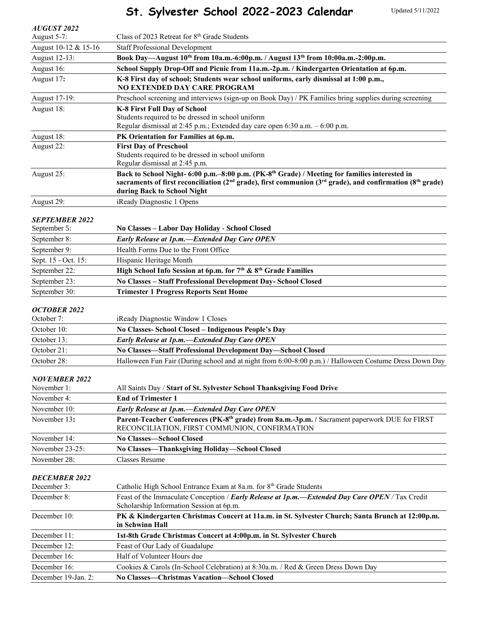# **St. Sylvester School 2022-2023 Calendar**

| <b>AUGUST 2022</b>                  |                                                                                                                                                                                                                                                                |
|-------------------------------------|----------------------------------------------------------------------------------------------------------------------------------------------------------------------------------------------------------------------------------------------------------------|
| August 5-7:                         | Class of 2023 Retreat for 8 <sup>th</sup> Grade Students                                                                                                                                                                                                       |
| August 10-12 & 15-16                | <b>Staff Professional Development</b>                                                                                                                                                                                                                          |
| August 12-13:                       | Book Day-August 10th from 10a.m.-6:00p.m. / August 13th from 10:00a.m.-2:00p.m.                                                                                                                                                                                |
| August 16:                          | School Supply Drop-Off and Picnic from 11a.m.-2p.m. / Kindergarten Orientation at 6p.m.                                                                                                                                                                        |
| August 17:                          | K-8 First day of school; Students wear school uniforms, early dismissal at 1:00 p.m.,<br><b>NO EXTENDED DAY CARE PROGRAM</b>                                                                                                                                   |
| August 17-19:                       | Preschool screening and interviews (sign-up on Book Day) / PK Families bring supplies during screening                                                                                                                                                         |
| August 18:                          | <b>K-8 First Full Day of School</b><br>Students required to be dressed in school uniform<br>Regular dismissal at 2:45 p.m.; Extended day care open 6:30 a.m. - 6:00 p.m.                                                                                       |
| August 18:                          | PK Orientation for Families at 6p.m.                                                                                                                                                                                                                           |
| August 22:                          | <b>First Day of Preschool</b><br>Students required to be dressed in school uniform<br>Regular dismissal at 2:45 p.m.                                                                                                                                           |
| August 25:                          | Back to School Night- 6:00 p.m.-8:00 p.m. (PK-8 <sup>th</sup> Grade) / Meeting for families interested in<br>sacraments of first reconciliation ( $2nd$ grade), first communion ( $3rd$ grade), and confirmation ( $8th$ grade)<br>during Back to School Night |
| August 29:                          | iReady Diagnostic 1 Opens                                                                                                                                                                                                                                      |
|                                     |                                                                                                                                                                                                                                                                |
| <b>SEPTEMBER 2022</b>               |                                                                                                                                                                                                                                                                |
| September 5:                        | No Classes - Labor Day Holiday - School Closed                                                                                                                                                                                                                 |
| September 8:                        | Early Release at 1p.m.-Extended Day Care OPEN<br>Health Forms Due to the Front Office                                                                                                                                                                          |
| September 9:                        |                                                                                                                                                                                                                                                                |
| Sept. 15 - Oct. 15:                 | Hispanic Heritage Month<br>High School Info Session at 6p.m. for 7th & 8th Grade Families                                                                                                                                                                      |
| September 22:                       |                                                                                                                                                                                                                                                                |
| September 23:                       | No Classes - Staff Professional Development Day- School Closed                                                                                                                                                                                                 |
| September 30:                       | <b>Trimester 1 Progress Reports Sent Home</b>                                                                                                                                                                                                                  |
| <b>OCTOBER 2022</b><br>October 7:   | iReady Diagnostic Window 1 Closes                                                                                                                                                                                                                              |
| October 10:                         | No Classes- School Closed - Indigenous People's Day                                                                                                                                                                                                            |
| October 13:                         | Early Release at 1p.m.-Extended Day Care OPEN                                                                                                                                                                                                                  |
| October 21:                         | No Classes-Staff Professional Development Day-School Closed                                                                                                                                                                                                    |
| October 28:                         | Halloween Fun Fair (During school and at night from 6:00-8:00 p.m.) / Halloween Costume Dress Down Day                                                                                                                                                         |
| <b>NOVEMBER 2022</b><br>November 1: | All Saints Day / Start of St. Sylvester School Thanksgiving Food Drive                                                                                                                                                                                         |
| November 4:                         | <b>End of Trimester 1</b>                                                                                                                                                                                                                                      |
| November 10:                        | Early Release at 1p.m.-Extended Day Care OPEN                                                                                                                                                                                                                  |
| November 13:                        | Parent-Teacher Conferences (PK-8 <sup>th</sup> grade) from 8a.m.-3p.m. / Sacrament paperwork DUE for FIRST<br>RECONCILIATION, FIRST COMMUNION, CONFIRMATION                                                                                                    |
| November 14:                        | <b>No Classes-School Closed</b>                                                                                                                                                                                                                                |
| November 23-25:                     | No Classes-Thanksgiving Holiday-School Closed                                                                                                                                                                                                                  |
| November 28:                        | <b>Classes Resume</b>                                                                                                                                                                                                                                          |
|                                     |                                                                                                                                                                                                                                                                |
| <b>DECEMBER 2022</b><br>December 3: | Catholic High School Entrance Exam at 8a.m. for 8 <sup>th</sup> Grade Students                                                                                                                                                                                 |
| December 8:                         | Feast of the Immaculate Conception / Early Release at 1p.m.—Extended Day Care OPEN/Tax Credit<br>Scholarship Information Session at 6p.m.                                                                                                                      |
| December 10:                        | PK & Kindergarten Christmas Concert at 11a.m. in St. Sylvester Church; Santa Brunch at 12:00p.m.<br>in Schwinn Hall                                                                                                                                            |
| December 11:                        | 1st-8th Grade Christmas Concert at 4:00p.m. in St. Sylvester Church                                                                                                                                                                                            |
| December 12:                        | Feast of Our Lady of Guadalupe                                                                                                                                                                                                                                 |
| December 16:                        | Half of Volunteer Hours due                                                                                                                                                                                                                                    |
| December 16:                        | Cookies & Carols (In-School Celebration) at 8:30a.m. / Red & Green Dress Down Day                                                                                                                                                                              |
| December 19-Jan. 2:                 | No Classes-Christmas Vacation-School Closed                                                                                                                                                                                                                    |
|                                     |                                                                                                                                                                                                                                                                |